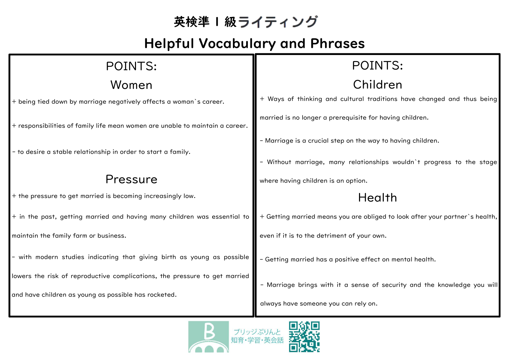## 英検準 | 級ライティング

## Helpful Vocabulary and Phrases

| POINTS:                                                                       | POINTS:                                                                      |
|-------------------------------------------------------------------------------|------------------------------------------------------------------------------|
| Women                                                                         | Children                                                                     |
| + being tied down by marriage negatively affects a woman`s career.            | + Ways of thinking and cultural traditions have changed and thus being       |
| + responsibilities of family life mean women are unable to maintain a career. | married is no longer a prerequisite for having children.                     |
|                                                                               | - Marriage is a crucial step on the way to having children.                  |
| - to desire a stable relationship in order to start a family.                 | - Without marriage, many relationships wouldn't progress to the stage        |
| Pressure                                                                      | where having children is an option.                                          |
| + the pressure to get married is becoming increasingly low.                   | Health                                                                       |
| + in the past, getting married and having many children was essential to      | + Getting married means you are obliged to look after your partner's health, |
| maintain the family farm or business.                                         | even if it is to the detriment of your own.                                  |
| - with modern studies indicating that giving birth as young as possible       | - Getting married has a positive effect on mental health.                    |
| lowers the risk of reproductive complications, the pressure to get married    | - Marriage brings with it a sense of security and the knowledge you will     |
| and have children as young as possible has rocketed.                          | always have someone you can rely on.                                         |